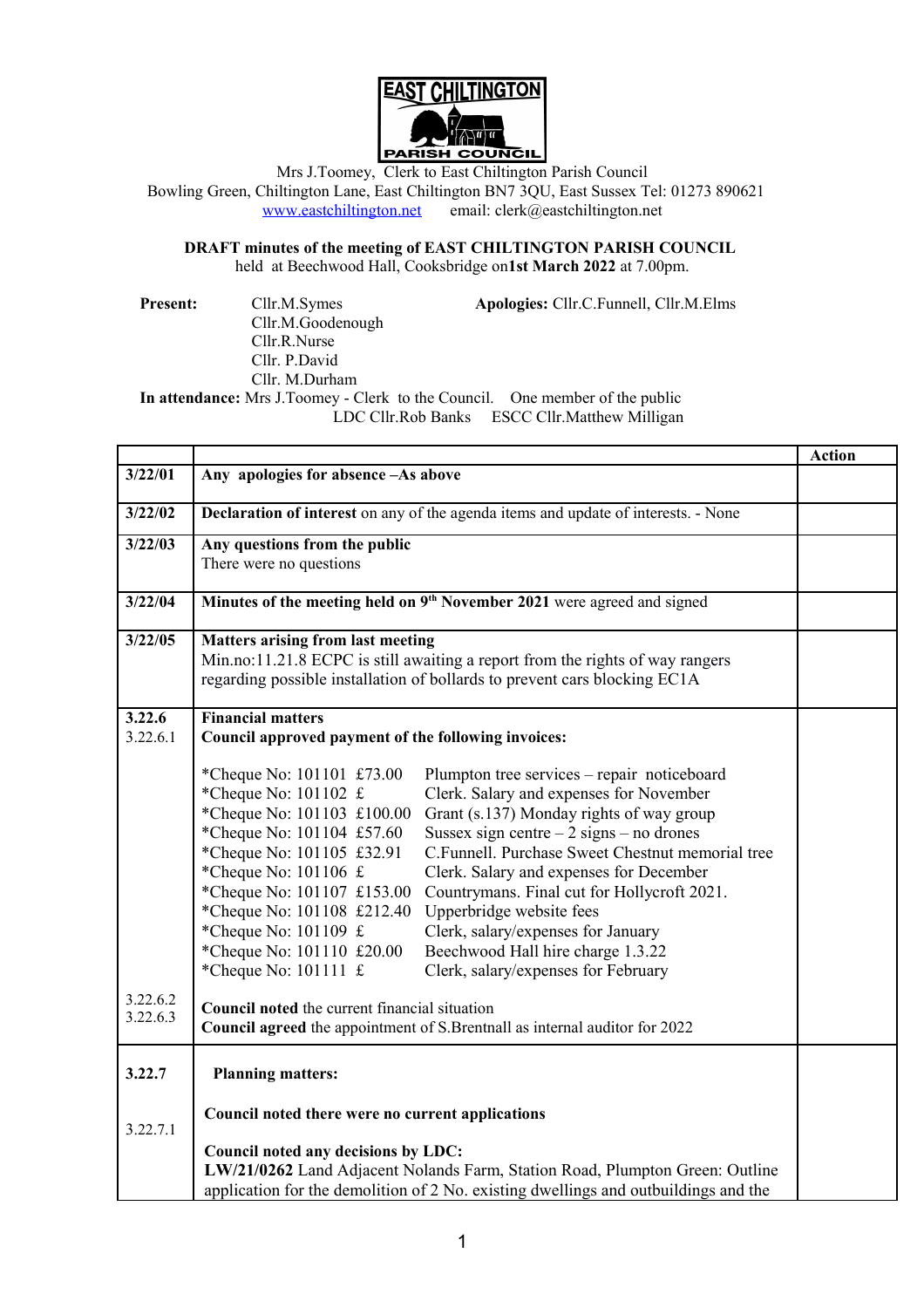

Mrs J.Toomey, Clerk to East Chiltington Parish Council Bowling Green, Chiltington Lane, East Chiltington BN7 3QU, East Sussex Tel: 01273 890621 [www.eastchiltington.net](http://www.eastchiltington.net/) email: clerk@eastchiltington.net

**DRAFT minutes of the meeting of EAST CHILTINGTON PARISH COUNCIL** held at Beechwood Hall, Cooksbridge on**1st March 2022** at 7.00pm.

**Present:** Cllr.M.Symes **Apologies:** Cllr.C.Funnell, Cllr.M.Elms Cllr.M.Goodenough Cllr.R.Nurse Cllr. P.David Cllr. M.Durham **In attendance:** Mrs J.Toomey - Clerk to the Council. One member of the public LDC Cllr.Rob Banks ESCC Cllr.Matthew Milligan

|          |                                                                                           | <b>Action</b> |
|----------|-------------------------------------------------------------------------------------------|---------------|
| 3/22/01  | Any apologies for absence -As above                                                       |               |
| 3/22/02  | Declaration of interest on any of the agenda items and update of interests. - None        |               |
| 3/22/03  | Any questions from the public                                                             |               |
|          | There were no questions                                                                   |               |
| 3/22/04  | Minutes of the meeting held on 9 <sup>th</sup> November 2021 were agreed and signed       |               |
| 3/22/05  | <b>Matters arising from last meeting</b>                                                  |               |
|          | Min.no:11.21.8 ECPC is still awaiting a report from the rights of way rangers             |               |
|          | regarding possible installation of bollards to prevent cars blocking EC1A                 |               |
| 3.22.6   | <b>Financial matters</b>                                                                  |               |
| 3.22.6.1 | Council approved payment of the following invoices:                                       |               |
|          | *Cheque No: 101101 £73.00<br>Plumpton tree services - repair noticeboard                  |               |
|          | *Cheque No: 101102 £<br>Clerk. Salary and expenses for November                           |               |
|          | *Cheque No: 101103 £100.00<br>Grant (s.137) Monday rights of way group                    |               |
|          | *Cheque No: 101104 £57.60<br>Sussex sign centre $-2$ signs $-$ no drones                  |               |
|          | *Cheque No: 101105 £32.91<br>C.Funnell. Purchase Sweet Chestnut memorial tree             |               |
|          | *Cheque No: $101106 \text{ } \pounds$<br>Clerk. Salary and expenses for December          |               |
|          | *Cheque No: 101107 £153.00<br>Countrymans. Final cut for Hollycroft 2021.                 |               |
|          | *Cheque No: 101108 £212.40<br>Upperbridge website fees                                    |               |
|          | *Cheque No: 101109 £<br>Clerk, salary/expenses for January                                |               |
|          | *Cheque No: 101110 £20.00<br>Beechwood Hall hire charge 1.3.22                            |               |
|          | *Cheque No: $101111 \text{ } \text{\textsterling}$<br>Clerk, salary/expenses for February |               |
| 3.22.6.2 | Council noted the current financial situation                                             |               |
| 3.22.6.3 | Council agreed the appointment of S.Brentnall as internal auditor for 2022                |               |
| 3.22.7   |                                                                                           |               |
|          | <b>Planning matters:</b>                                                                  |               |
| 3.22.7.1 | Council noted there were no current applications                                          |               |
|          | Council noted any decisions by LDC:                                                       |               |
|          | LW/21/0262 Land Adjacent Nolands Farm, Station Road, Plumpton Green: Outline              |               |
|          | application for the demolition of 2 No. existing dwellings and outbuildings and the       |               |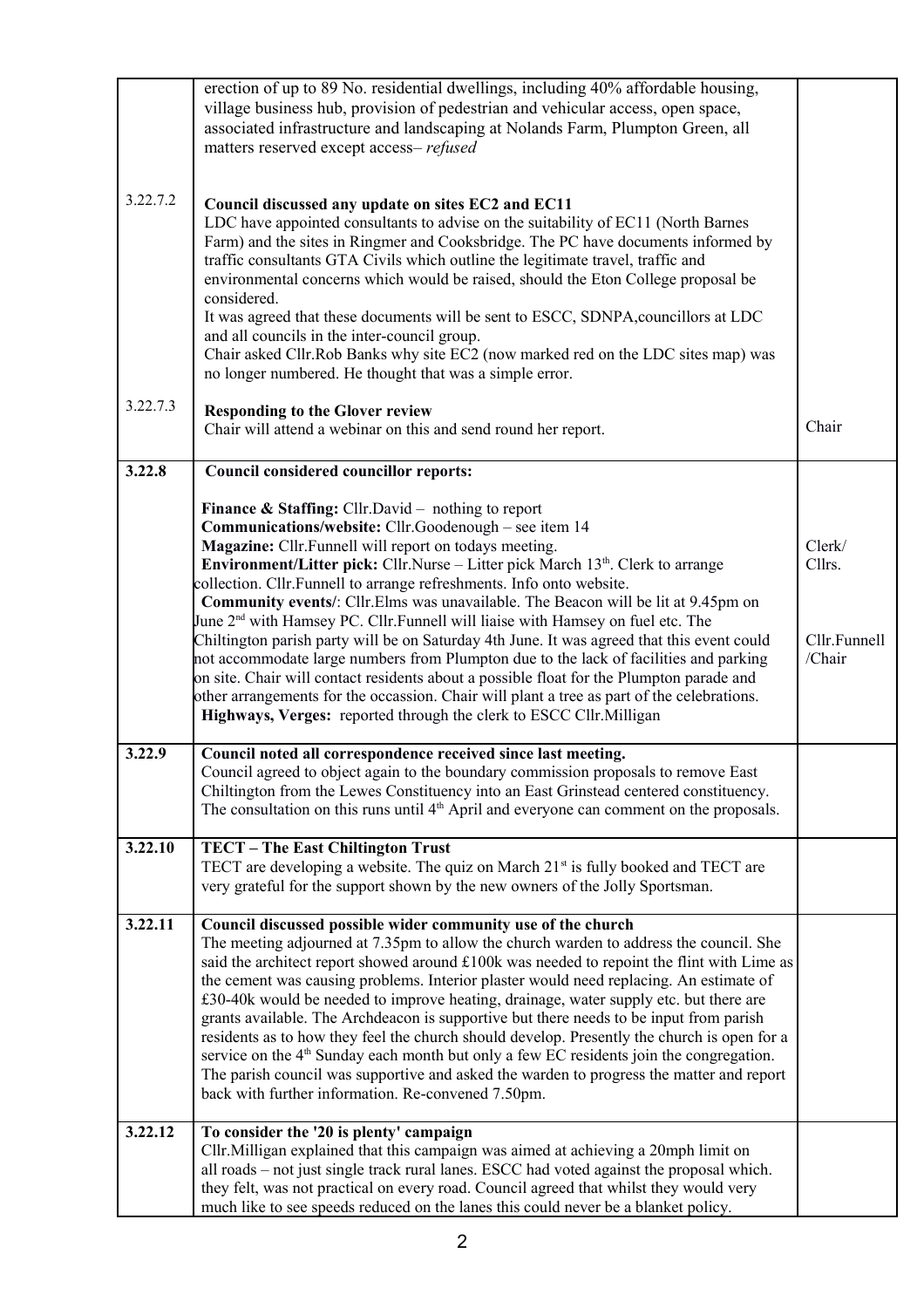|          | erection of up to 89 No. residential dwellings, including 40% affordable housing,<br>village business hub, provision of pedestrian and vehicular access, open space,<br>associated infrastructure and landscaping at Nolands Farm, Plumpton Green, all<br>matters reserved except access-refused                                                                                                                                                                                                                                                                                                                                                                                                          |                        |
|----------|-----------------------------------------------------------------------------------------------------------------------------------------------------------------------------------------------------------------------------------------------------------------------------------------------------------------------------------------------------------------------------------------------------------------------------------------------------------------------------------------------------------------------------------------------------------------------------------------------------------------------------------------------------------------------------------------------------------|------------------------|
| 3.22.7.2 | Council discussed any update on sites EC2 and EC11<br>LDC have appointed consultants to advise on the suitability of EC11 (North Barnes<br>Farm) and the sites in Ringmer and Cooksbridge. The PC have documents informed by<br>traffic consultants GTA Civils which outline the legitimate travel, traffic and<br>environmental concerns which would be raised, should the Eton College proposal be<br>considered.<br>It was agreed that these documents will be sent to ESCC, SDNPA, councillors at LDC<br>and all councils in the inter-council group.<br>Chair asked Cllr.Rob Banks why site EC2 (now marked red on the LDC sites map) was<br>no longer numbered. He thought that was a simple error. |                        |
| 3.22.7.3 | <b>Responding to the Glover review</b><br>Chair will attend a webinar on this and send round her report.                                                                                                                                                                                                                                                                                                                                                                                                                                                                                                                                                                                                  | Chair                  |
| 3.22.8   | Council considered councillor reports:                                                                                                                                                                                                                                                                                                                                                                                                                                                                                                                                                                                                                                                                    |                        |
|          | <b>Finance &amp; Staffing:</b> Cllr.David – nothing to report<br>Communications/website: Cllr.Goodenough - see item 14                                                                                                                                                                                                                                                                                                                                                                                                                                                                                                                                                                                    |                        |
|          | Magazine: Cllr.Funnell will report on todays meeting.                                                                                                                                                                                                                                                                                                                                                                                                                                                                                                                                                                                                                                                     | Clerk/                 |
|          | Environment/Litter pick: Cllr.Nurse - Litter pick March 13th. Clerk to arrange<br>collection. Cllr.Funnell to arrange refreshments. Info onto website.                                                                                                                                                                                                                                                                                                                                                                                                                                                                                                                                                    | Cllrs.                 |
|          | Community events/: Cllr.Elms was unavailable. The Beacon will be lit at 9.45pm on                                                                                                                                                                                                                                                                                                                                                                                                                                                                                                                                                                                                                         |                        |
|          | June 2 <sup>nd</sup> with Hamsey PC. Cllr. Funnell will liaise with Hamsey on fuel etc. The                                                                                                                                                                                                                                                                                                                                                                                                                                                                                                                                                                                                               |                        |
|          | Chiltington parish party will be on Saturday 4th June. It was agreed that this event could<br>not accommodate large numbers from Plumpton due to the lack of facilities and parking                                                                                                                                                                                                                                                                                                                                                                                                                                                                                                                       | Cllr.Funnell<br>/Chair |
|          | on site. Chair will contact residents about a possible float for the Plumpton parade and                                                                                                                                                                                                                                                                                                                                                                                                                                                                                                                                                                                                                  |                        |
|          | other arrangements for the occassion. Chair will plant a tree as part of the celebrations.                                                                                                                                                                                                                                                                                                                                                                                                                                                                                                                                                                                                                |                        |
|          | Highways, Verges: reported through the clerk to ESCC Cllr. Milligan                                                                                                                                                                                                                                                                                                                                                                                                                                                                                                                                                                                                                                       |                        |
| 3.22.9   | Council noted all correspondence received since last meeting.                                                                                                                                                                                                                                                                                                                                                                                                                                                                                                                                                                                                                                             |                        |
|          | Council agreed to object again to the boundary commission proposals to remove East<br>Chiltington from the Lewes Constituency into an East Grinstead centered constituency.                                                                                                                                                                                                                                                                                                                                                                                                                                                                                                                               |                        |
|          | The consultation on this runs until $4th$ April and everyone can comment on the proposals.                                                                                                                                                                                                                                                                                                                                                                                                                                                                                                                                                                                                                |                        |
|          |                                                                                                                                                                                                                                                                                                                                                                                                                                                                                                                                                                                                                                                                                                           |                        |
| 3.22.10  | TECT - The East Chiltington Trust<br>TECT are developing a website. The quiz on March 21 <sup>st</sup> is fully booked and TECT are                                                                                                                                                                                                                                                                                                                                                                                                                                                                                                                                                                       |                        |
|          | very grateful for the support shown by the new owners of the Jolly Sportsman.                                                                                                                                                                                                                                                                                                                                                                                                                                                                                                                                                                                                                             |                        |
| 3.22.11  |                                                                                                                                                                                                                                                                                                                                                                                                                                                                                                                                                                                                                                                                                                           |                        |
|          | Council discussed possible wider community use of the church<br>The meeting adjourned at 7.35pm to allow the church warden to address the council. She                                                                                                                                                                                                                                                                                                                                                                                                                                                                                                                                                    |                        |
|          | said the architect report showed around £100k was needed to repoint the flint with Lime as                                                                                                                                                                                                                                                                                                                                                                                                                                                                                                                                                                                                                |                        |
|          | the cement was causing problems. Interior plaster would need replacing. An estimate of<br>£30-40k would be needed to improve heating, drainage, water supply etc. but there are                                                                                                                                                                                                                                                                                                                                                                                                                                                                                                                           |                        |
|          | grants available. The Archdeacon is supportive but there needs to be input from parish                                                                                                                                                                                                                                                                                                                                                                                                                                                                                                                                                                                                                    |                        |
|          | residents as to how they feel the church should develop. Presently the church is open for a                                                                                                                                                                                                                                                                                                                                                                                                                                                                                                                                                                                                               |                        |
|          | service on the 4 <sup>th</sup> Sunday each month but only a few EC residents join the congregation.<br>The parish council was supportive and asked the warden to progress the matter and report                                                                                                                                                                                                                                                                                                                                                                                                                                                                                                           |                        |
|          | back with further information. Re-convened 7.50pm.                                                                                                                                                                                                                                                                                                                                                                                                                                                                                                                                                                                                                                                        |                        |
| 3.22.12  | To consider the '20 is plenty' campaign                                                                                                                                                                                                                                                                                                                                                                                                                                                                                                                                                                                                                                                                   |                        |
|          | Cllr. Milligan explained that this campaign was aimed at achieving a 20mph limit on                                                                                                                                                                                                                                                                                                                                                                                                                                                                                                                                                                                                                       |                        |
|          | all roads – not just single track rural lanes. ESCC had voted against the proposal which.                                                                                                                                                                                                                                                                                                                                                                                                                                                                                                                                                                                                                 |                        |
|          | they felt, was not practical on every road. Council agreed that whilst they would very<br>much like to see speeds reduced on the lanes this could never be a blanket policy.                                                                                                                                                                                                                                                                                                                                                                                                                                                                                                                              |                        |
|          |                                                                                                                                                                                                                                                                                                                                                                                                                                                                                                                                                                                                                                                                                                           |                        |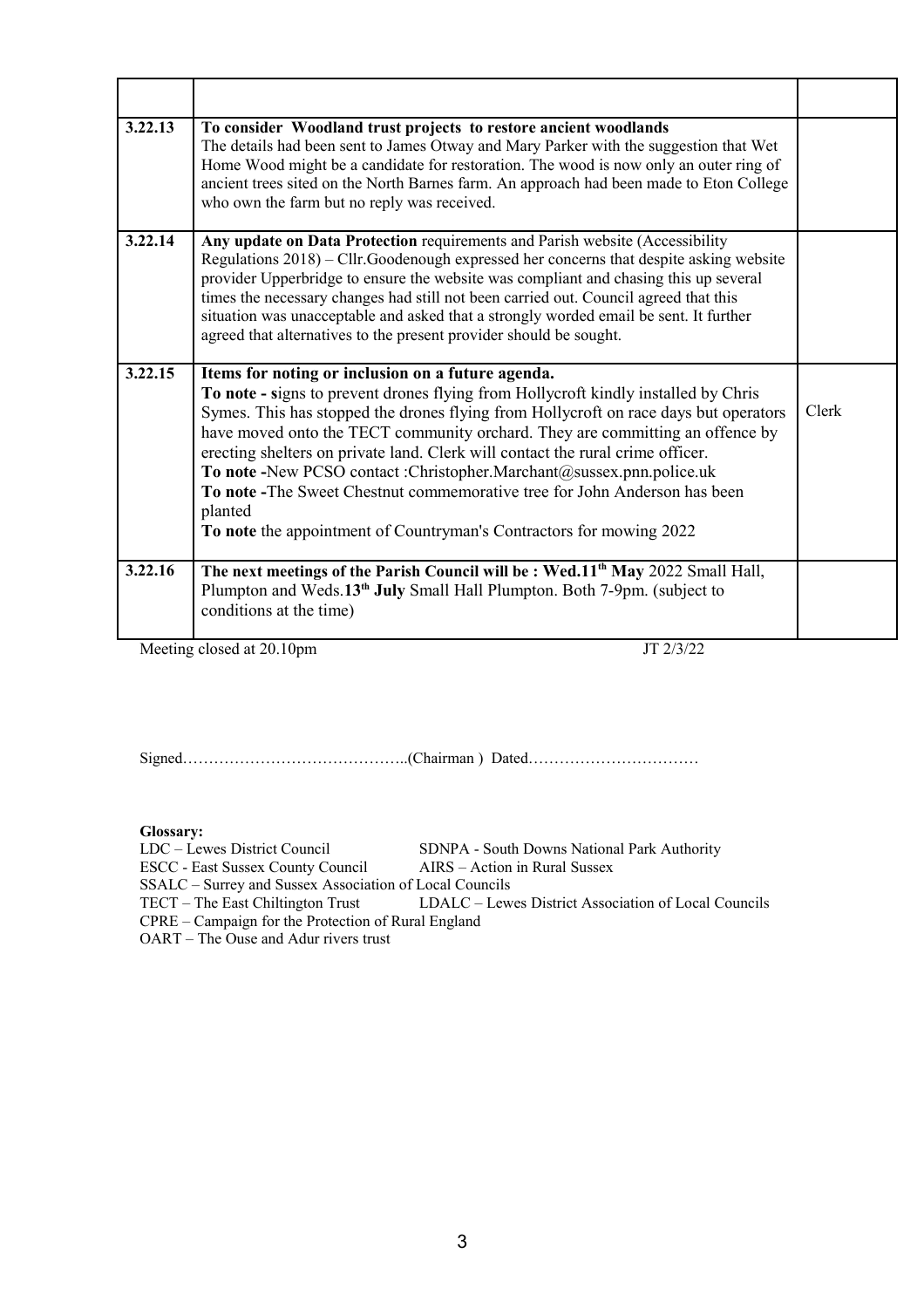| 3.22.13 | To consider Woodland trust projects to restore ancient woodlands<br>The details had been sent to James Otway and Mary Parker with the suggestion that Wet<br>Home Wood might be a candidate for restoration. The wood is now only an outer ring of<br>ancient trees sited on the North Barnes farm. An approach had been made to Eton College<br>who own the farm but no reply was received.                                                                                                                                                                                                                                              |       |
|---------|-------------------------------------------------------------------------------------------------------------------------------------------------------------------------------------------------------------------------------------------------------------------------------------------------------------------------------------------------------------------------------------------------------------------------------------------------------------------------------------------------------------------------------------------------------------------------------------------------------------------------------------------|-------|
| 3.22.14 | Any update on Data Protection requirements and Parish website (Accessibility<br>Regulations 2018) – Cllr.Goodenough expressed her concerns that despite asking website<br>provider Upperbridge to ensure the website was compliant and chasing this up several<br>times the necessary changes had still not been carried out. Council agreed that this<br>situation was unacceptable and asked that a strongly worded email be sent. It further<br>agreed that alternatives to the present provider should be sought.                                                                                                                     |       |
| 3.22.15 | Items for noting or inclusion on a future agenda.<br>To note - signs to prevent drones flying from Hollycroft kindly installed by Chris<br>Symes. This has stopped the drones flying from Hollycroft on race days but operators<br>have moved onto the TECT community orchard. They are committing an offence by<br>erecting shelters on private land. Clerk will contact the rural crime officer.<br>To note -New PCSO contact :Christopher.Marchant@sussex.pnn.police.uk<br>To note -The Sweet Chestnut commemorative tree for John Anderson has been<br>planted<br>To note the appointment of Countryman's Contractors for mowing 2022 | Clerk |
| 3.22.16 | The next meetings of the Parish Council will be: Wed.11 <sup>th</sup> May 2022 Small Hall,<br>Plumpton and Weds.13 <sup>th</sup> July Small Hall Plumpton. Both 7-9pm. (subject to<br>conditions at the time)                                                                                                                                                                                                                                                                                                                                                                                                                             |       |

Meeting closed at 20.10pm JT 2/3/22

Signed……………………………………..(Chairman ) Dated……………………………

**Glossary:**

LDC – Lewes District Council SDNPA - South Downs National Park Authority ESCC - East Sussex County Council AIRS – Action in Rural Sussex

SSALC – Surrey and Sussex Association of Local Councils

TECT – The East Chiltington Trust LDALC – Lewes District Association of Local Councils

CPRE – Campaign for the Protection of Rural England

OART – The Ouse and Adur rivers trust